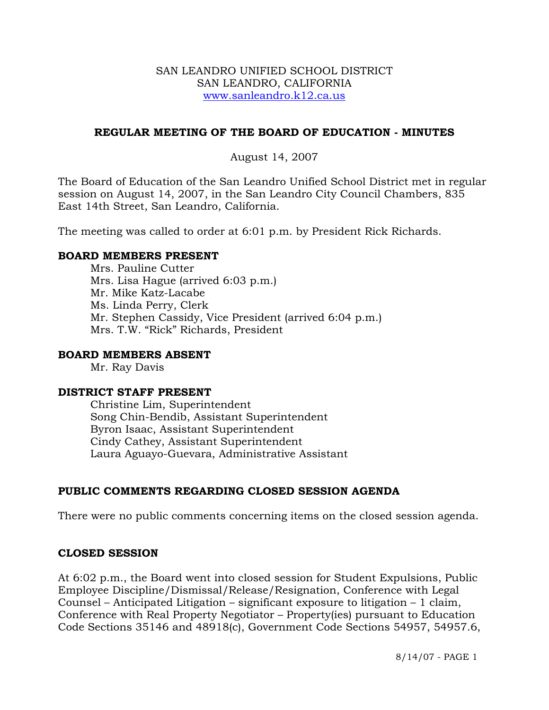### SAN LEANDRO UNIFIED SCHOOL DISTRICT SAN LEANDRO, CALIFORNIA www.sanleandro.k12.ca.us

# **REGULAR MEETING OF THE BOARD OF EDUCATION - MINUTES**

# August 14, 2007

The Board of Education of the San Leandro Unified School District met in regular session on August 14, 2007, in the San Leandro City Council Chambers, 835 East 14th Street, San Leandro, California.

The meeting was called to order at 6:01 p.m. by President Rick Richards.

## **BOARD MEMBERS PRESENT**

Mrs. Pauline Cutter Mrs. Lisa Hague (arrived 6:03 p.m.) Mr. Mike Katz-Lacabe Ms. Linda Perry, Clerk Mr. Stephen Cassidy, Vice President (arrived 6:04 p.m.) Mrs. T.W. "Rick" Richards, President

### **BOARD MEMBERS ABSENT**

Mr. Ray Davis

#### **DISTRICT STAFF PRESENT**

Christine Lim, Superintendent Song Chin-Bendib, Assistant Superintendent Byron Isaac, Assistant Superintendent Cindy Cathey, Assistant Superintendent Laura Aguayo-Guevara, Administrative Assistant

# **PUBLIC COMMENTS REGARDING CLOSED SESSION AGENDA**

There were no public comments concerning items on the closed session agenda.

# **CLOSED SESSION**

At 6:02 p.m., the Board went into closed session for Student Expulsions, Public Employee Discipline/Dismissal/Release/Resignation, Conference with Legal Counsel – Anticipated Litigation – significant exposure to litigation – 1 claim, Conference with Real Property Negotiator – Property(ies) pursuant to Education Code Sections 35146 and 48918(c), Government Code Sections 54957, 54957.6,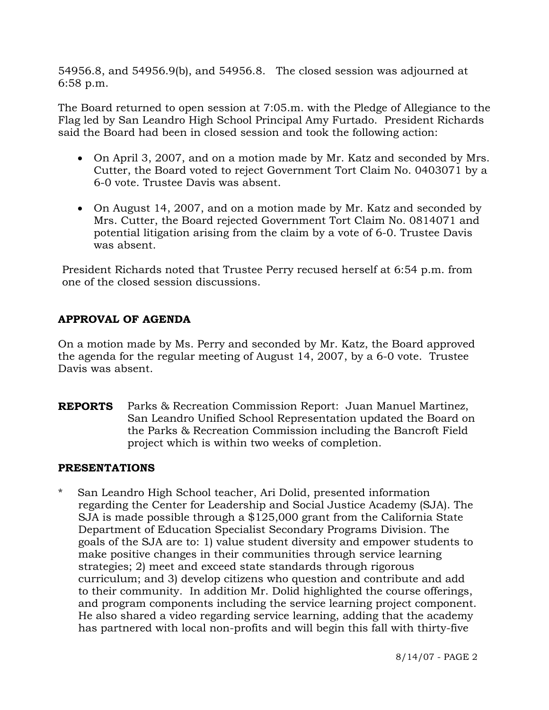54956.8, and 54956.9(b), and 54956.8. The closed session was adjourned at 6:58 p.m.

The Board returned to open session at 7:05.m. with the Pledge of Allegiance to the Flag led by San Leandro High School Principal Amy Furtado. President Richards said the Board had been in closed session and took the following action:

- On April 3, 2007, and on a motion made by Mr. Katz and seconded by Mrs. Cutter, the Board voted to reject Government Tort Claim No. 0403071 by a 6-0 vote. Trustee Davis was absent.
- On August 14, 2007, and on a motion made by Mr. Katz and seconded by Mrs. Cutter, the Board rejected Government Tort Claim No. 0814071 and potential litigation arising from the claim by a vote of 6-0. Trustee Davis was absent.

President Richards noted that Trustee Perry recused herself at 6:54 p.m. from one of the closed session discussions.

# **APPROVAL OF AGENDA**

On a motion made by Ms. Perry and seconded by Mr. Katz, the Board approved the agenda for the regular meeting of August 14, 2007, by a 6-0 vote. Trustee Davis was absent.

**REPORTS** Parks & Recreation Commission Report: Juan Manuel Martinez, San Leandro Unified School Representation updated the Board on the Parks & Recreation Commission including the Bancroft Field project which is within two weeks of completion.

#### **PRESENTATIONS**

\* San Leandro High School teacher, Ari Dolid, presented information regarding the Center for Leadership and Social Justice Academy (SJA). The SJA is made possible through a \$125,000 grant from the California State Department of Education Specialist Secondary Programs Division. The goals of the SJA are to: 1) value student diversity and empower students to make positive changes in their communities through service learning strategies; 2) meet and exceed state standards through rigorous curriculum; and 3) develop citizens who question and contribute and add to their community. In addition Mr. Dolid highlighted the course offerings, and program components including the service learning project component. He also shared a video regarding service learning, adding that the academy has partnered with local non-profits and will begin this fall with thirty-five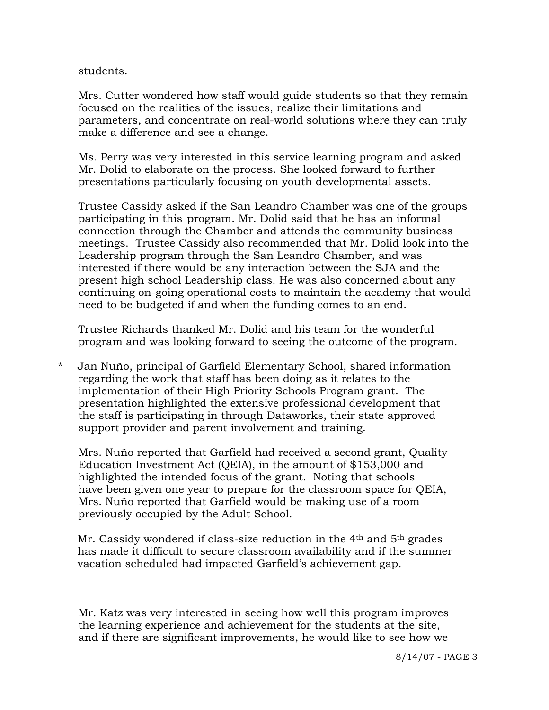students.

 Mrs. Cutter wondered how staff would guide students so that they remain focused on the realities of the issues, realize their limitations and parameters, and concentrate on real-world solutions where they can truly make a difference and see a change.

 Ms. Perry was very interested in this service learning program and asked Mr. Dolid to elaborate on the process. She looked forward to further presentations particularly focusing on youth developmental assets.

 Trustee Cassidy asked if the San Leandro Chamber was one of the groups participating in this program. Mr. Dolid said that he has an informal connection through the Chamber and attends the community business meetings. Trustee Cassidy also recommended that Mr. Dolid look into the Leadership program through the San Leandro Chamber, and was interested if there would be any interaction between the SJA and the present high school Leadership class. He was also concerned about any continuing on-going operational costs to maintain the academy that would need to be budgeted if and when the funding comes to an end.

 Trustee Richards thanked Mr. Dolid and his team for the wonderful program and was looking forward to seeing the outcome of the program.

\* Jan Nuño, principal of Garfield Elementary School, shared information regarding the work that staff has been doing as it relates to the implementation of their High Priority Schools Program grant. The presentation highlighted the extensive professional development that the staff is participating in through Dataworks, their state approved support provider and parent involvement and training.

 Mrs. Nuño reported that Garfield had received a second grant, Quality Education Investment Act (QEIA), in the amount of \$153,000 and highlighted the intended focus of the grant. Noting that schools have been given one year to prepare for the classroom space for QEIA, Mrs. Nuño reported that Garfield would be making use of a room previously occupied by the Adult School.

Mr. Cassidy wondered if class-size reduction in the 4<sup>th</sup> and 5<sup>th</sup> grades has made it difficult to secure classroom availability and if the summer vacation scheduled had impacted Garfield's achievement gap.

 Mr. Katz was very interested in seeing how well this program improves the learning experience and achievement for the students at the site, and if there are significant improvements, he would like to see how we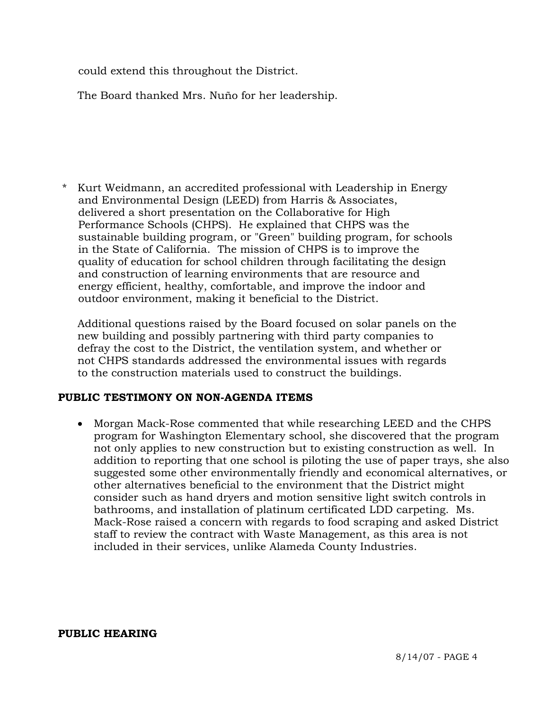could extend this throughout the District.

The Board thanked Mrs. Nuño for her leadership.

Kurt Weidmann, an accredited professional with Leadership in Energy and Environmental Design (LEED) from Harris & Associates, delivered a short presentation on the Collaborative for High Performance Schools (CHPS). He explained that CHPS was the sustainable building program, or "Green" building program, for schools in the State of California. The mission of CHPS is to improve the quality of education for school children through facilitating the design and construction of learning environments that are resource and energy efficient, healthy, comfortable, and improve the indoor and outdoor environment, making it beneficial to the District.

Additional questions raised by the Board focused on solar panels on the new building and possibly partnering with third party companies to defray the cost to the District, the ventilation system, and whether or not CHPS standards addressed the environmental issues with regards to the construction materials used to construct the buildings.

# **PUBLIC TESTIMONY ON NON-AGENDA ITEMS**

• Morgan Mack-Rose commented that while researching LEED and the CHPS program for Washington Elementary school, she discovered that the program not only applies to new construction but to existing construction as well. In addition to reporting that one school is piloting the use of paper trays, she also suggested some other environmentally friendly and economical alternatives, or other alternatives beneficial to the environment that the District might consider such as hand dryers and motion sensitive light switch controls in bathrooms, and installation of platinum certificated LDD carpeting. Ms. Mack-Rose raised a concern with regards to food scraping and asked District staff to review the contract with Waste Management, as this area is not included in their services, unlike Alameda County Industries.

**PUBLIC HEARING**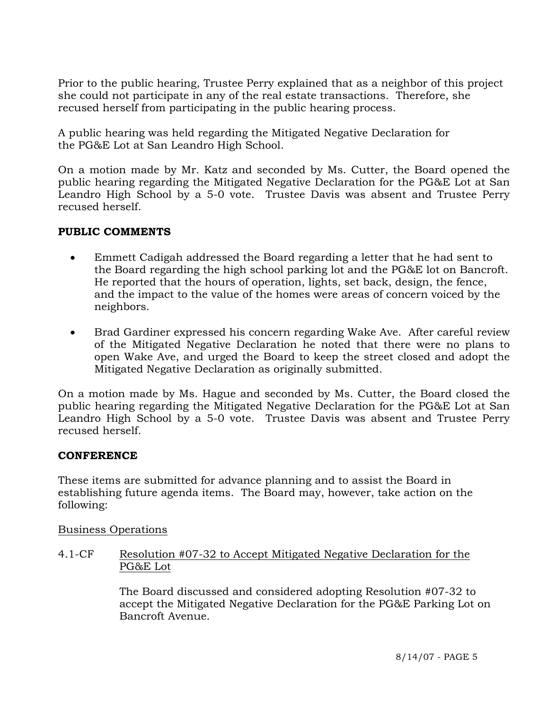Prior to the public hearing, Trustee Perry explained that as a neighbor of this project she could not participate in any of the real estate transactions. Therefore, she recused herself from participating in the public hearing process.

A public hearing was held regarding the Mitigated Negative Declaration for the PG&E Lot at San Leandro High School.

On a motion made by Mr. Katz and seconded by Ms. Cutter, the Board opened the public hearing regarding the Mitigated Negative Declaration for the PG&E Lot at San Leandro High School by a 5-0 vote. Trustee Davis was absent and Trustee Perry recused herself.

# **PUBLIC COMMENTS**

- Emmett Cadigah addressed the Board regarding a letter that he had sent to the Board regarding the high school parking lot and the PG&E lot on Bancroft. He reported that the hours of operation, lights, set back, design, the fence, and the impact to the value of the homes were areas of concern voiced by the neighbors.
- Brad Gardiner expressed his concern regarding Wake Ave. After careful review of the Mitigated Negative Declaration he noted that there were no plans to open Wake Ave, and urged the Board to keep the street closed and adopt the Mitigated Negative Declaration as originally submitted.

On a motion made by Ms. Hague and seconded by Ms. Cutter, the Board closed the public hearing regarding the Mitigated Negative Declaration for the PG&E Lot at San Leandro High School by a 5-0 vote. Trustee Davis was absent and Trustee Perry recused herself.

# **CONFERENCE**

These items are submitted for advance planning and to assist the Board in establishing future agenda items. The Board may, however, take action on the following:

Business Operations

4.1-CF Resolution #07-32 to Accept Mitigated Negative Declaration for the PG&E Lot

> The Board discussed and considered adopting Resolution #07-32 to accept the Mitigated Negative Declaration for the PG&E Parking Lot on Bancroft Avenue.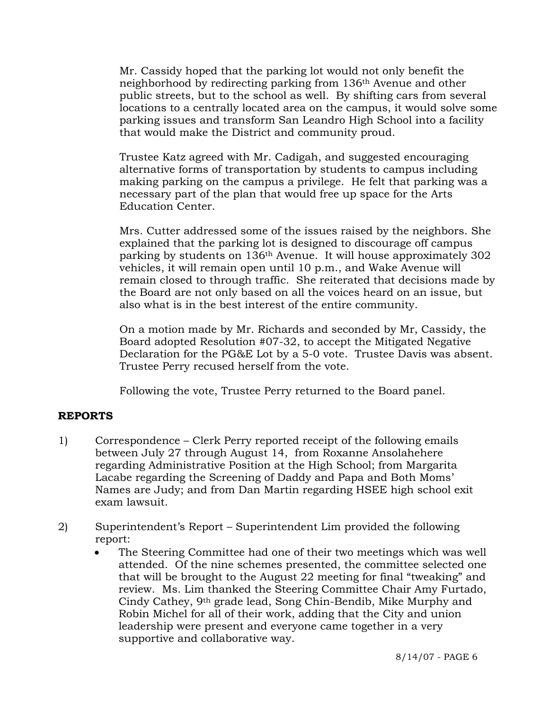Mr. Cassidy hoped that the parking lot would not only benefit the neighborhood by redirecting parking from 136th Avenue and other public streets, but to the school as well. By shifting cars from several locations to a centrally located area on the campus, it would solve some parking issues and transform San Leandro High School into a facility that would make the District and community proud.

Trustee Katz agreed with Mr. Cadigah, and suggested encouraging alternative forms of transportation by students to campus including making parking on the campus a privilege. He felt that parking was a necessary part of the plan that would free up space for the Arts Education Center.

Mrs. Cutter addressed some of the issues raised by the neighbors. She explained that the parking lot is designed to discourage off campus parking by students on 136th Avenue. It will house approximately 302 vehicles, it will remain open until 10 p.m., and Wake Avenue will remain closed to through traffic. She reiterated that decisions made by the Board are not only based on all the voices heard on an issue, but also what is in the best interest of the entire community.

On a motion made by Mr. Richards and seconded by Mr, Cassidy, the Board adopted Resolution #07-32, to accept the Mitigated Negative Declaration for the PG&E Lot by a 5-0 vote. Trustee Davis was absent. Trustee Perry recused herself from the vote.

Following the vote, Trustee Perry returned to the Board panel.

# **REPORTS**

- 1) Correspondence Clerk Perry reported receipt of the following emails between July 27 through August 14, from Roxanne Ansolahehere regarding Administrative Position at the High School; from Margarita Lacabe regarding the Screening of Daddy and Papa and Both Moms' Names are Judy; and from Dan Martin regarding HSEE high school exit exam lawsuit.
- 2) Superintendent's Report Superintendent Lim provided the following report:
	- The Steering Committee had one of their two meetings which was well attended. Of the nine schemes presented, the committee selected one that will be brought to the August 22 meeting for final "tweaking" and review. Ms. Lim thanked the Steering Committee Chair Amy Furtado, Cindy Cathey, 9th grade lead, Song Chin-Bendib, Mike Murphy and Robin Michel for all of their work, adding that the City and union leadership were present and everyone came together in a very supportive and collaborative way.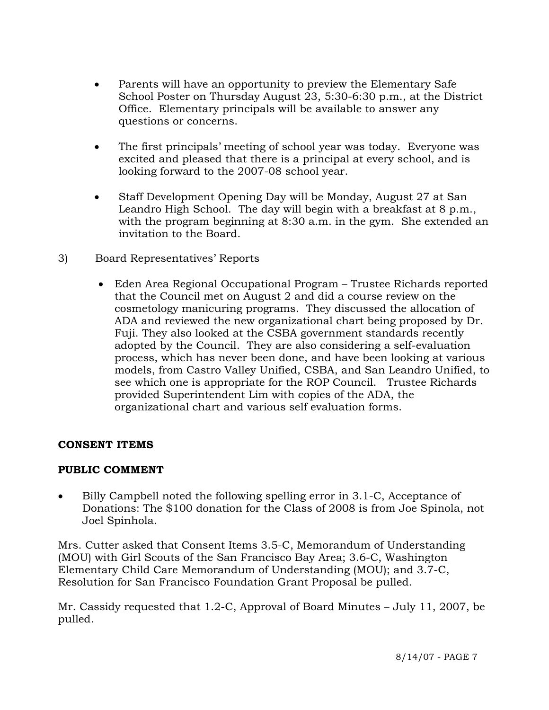- Parents will have an opportunity to preview the Elementary Safe School Poster on Thursday August 23, 5:30-6:30 p.m., at the District Office. Elementary principals will be available to answer any questions or concerns.
- The first principals' meeting of school year was today. Everyone was excited and pleased that there is a principal at every school, and is looking forward to the 2007-08 school year.
- Staff Development Opening Day will be Monday, August 27 at San Leandro High School. The day will begin with a breakfast at 8 p.m., with the program beginning at 8:30 a.m. in the gym. She extended an invitation to the Board.
- 3) Board Representatives' Reports
	- Eden Area Regional Occupational Program Trustee Richards reported that the Council met on August 2 and did a course review on the cosmetology manicuring programs. They discussed the allocation of ADA and reviewed the new organizational chart being proposed by Dr. Fuji. They also looked at the CSBA government standards recently adopted by the Council. They are also considering a self-evaluation process, which has never been done, and have been looking at various models, from Castro Valley Unified, CSBA, and San Leandro Unified, to see which one is appropriate for the ROP Council. Trustee Richards provided Superintendent Lim with copies of the ADA, the organizational chart and various self evaluation forms.

# **CONSENT ITEMS**

# **PUBLIC COMMENT**

• Billy Campbell noted the following spelling error in 3.1-C, Acceptance of Donations: The \$100 donation for the Class of 2008 is from Joe Spinola, not Joel Spinhola.

Mrs. Cutter asked that Consent Items 3.5-C, Memorandum of Understanding (MOU) with Girl Scouts of the San Francisco Bay Area; 3.6-C, Washington Elementary Child Care Memorandum of Understanding (MOU); and 3.7-C, Resolution for San Francisco Foundation Grant Proposal be pulled.

Mr. Cassidy requested that 1.2-C, Approval of Board Minutes – July 11, 2007, be pulled.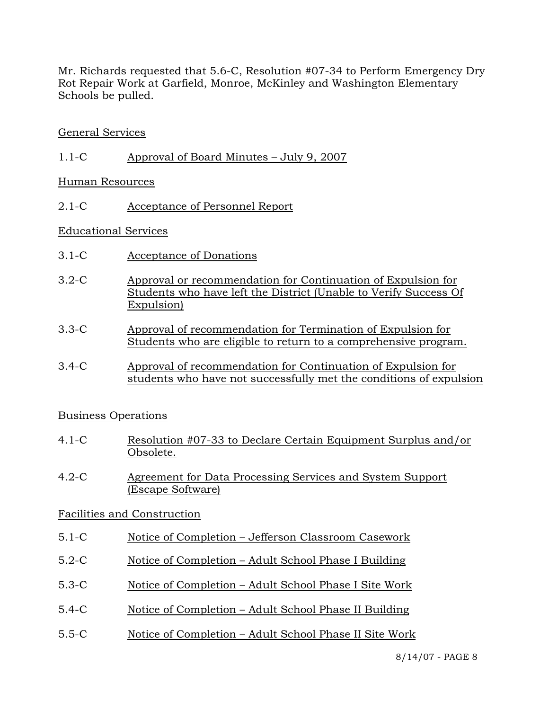Mr. Richards requested that 5.6-C, Resolution #07-34 to Perform Emergency Dry Rot Repair Work at Garfield, Monroe, McKinley and Washington Elementary Schools be pulled.

## General Services

1.1-C Approval of Board Minutes – July 9, 2007

Human Resources

2.1-C Acceptance of Personnel Report

#### Educational Services

- 3.1-C Acceptance of Donations
- 3.2-C Approval or recommendation for Continuation of Expulsion for Students who have left the District (Unable to Verify Success Of Expulsion)
- 3.3-C Approval of recommendation for Termination of Expulsion for Students who are eligible to return to a comprehensive program.
- 3.4-C Approval of recommendation for Continuation of Expulsion for students who have not successfully met the conditions of expulsion

#### Business Operations

- 4.1-C Resolution #07-33 to Declare Certain Equipment Surplus and/or Obsolete.
- 4.2-C Agreement for Data Processing Services and System Support (Escape Software)

# Facilities and Construction

- 5.1-C Notice of Completion Jefferson Classroom Casework
- 5.2-C Notice of Completion Adult School Phase I Building
- 5.3-C Notice of Completion Adult School Phase I Site Work
- 5.4-C Notice of Completion Adult School Phase II Building
- 5.5-C Notice of Completion Adult School Phase II Site Work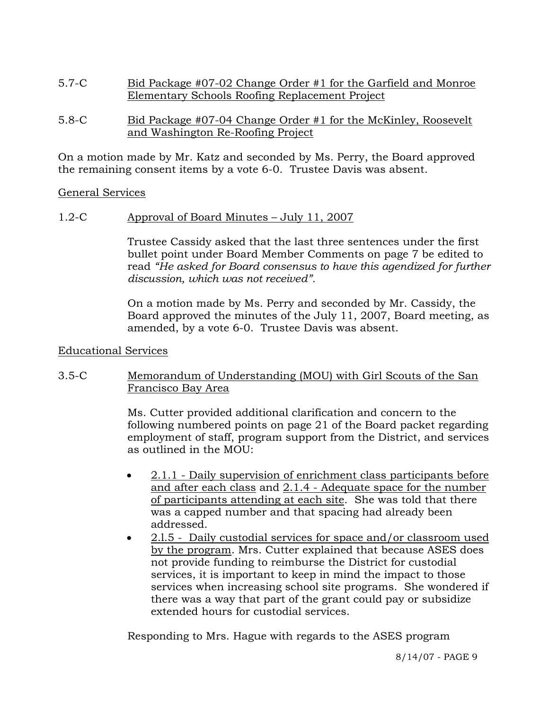- 5.7-C Bid Package #07-02 Change Order #1 for the Garfield and Monroe Elementary Schools Roofing Replacement Project
- 5.8-C Bid Package #07-04 Change Order #1 for the McKinley, Roosevelt and Washington Re-Roofing Project

On a motion made by Mr. Katz and seconded by Ms. Perry, the Board approved the remaining consent items by a vote 6-0. Trustee Davis was absent.

## General Services

1.2-C Approval of Board Minutes – July 11, 2007

Trustee Cassidy asked that the last three sentences under the first bullet point under Board Member Comments on page 7 be edited to read *"He asked for Board consensus to have this agendized for further discussion, which was not received".*

On a motion made by Ms. Perry and seconded by Mr. Cassidy, the Board approved the minutes of the July 11, 2007, Board meeting, as amended, by a vote 6-0. Trustee Davis was absent.

#### Educational Services

# 3.5-C Memorandum of Understanding (MOU) with Girl Scouts of the San Francisco Bay Area

Ms. Cutter provided additional clarification and concern to the following numbered points on page 21 of the Board packet regarding employment of staff, program support from the District, and services as outlined in the MOU:

- 2.1.1 Daily supervision of enrichment class participants before and after each class and 2.1.4 - Adequate space for the number of participants attending at each site. She was told that there was a capped number and that spacing had already been addressed.
- 2.l.5 Daily custodial services for space and/or classroom used by the program. Mrs. Cutter explained that because ASES does not provide funding to reimburse the District for custodial services, it is important to keep in mind the impact to those services when increasing school site programs. She wondered if there was a way that part of the grant could pay or subsidize extended hours for custodial services.

Responding to Mrs. Hague with regards to the ASES program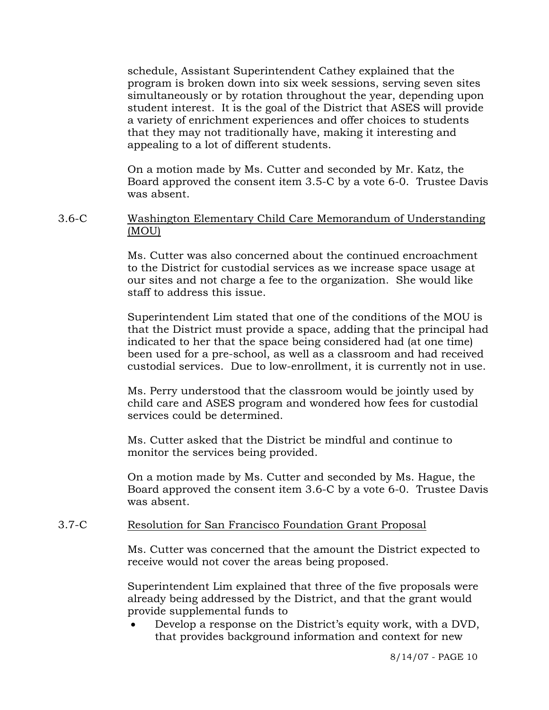schedule, Assistant Superintendent Cathey explained that the program is broken down into six week sessions, serving seven sites simultaneously or by rotation throughout the year, depending upon student interest. It is the goal of the District that ASES will provide a variety of enrichment experiences and offer choices to students that they may not traditionally have, making it interesting and appealing to a lot of different students.

On a motion made by Ms. Cutter and seconded by Mr. Katz, the Board approved the consent item 3.5-C by a vote 6-0. Trustee Davis was absent.

## 3.6-C Washington Elementary Child Care Memorandum of Understanding (MOU)

Ms. Cutter was also concerned about the continued encroachment to the District for custodial services as we increase space usage at our sites and not charge a fee to the organization. She would like staff to address this issue.

Superintendent Lim stated that one of the conditions of the MOU is that the District must provide a space, adding that the principal had indicated to her that the space being considered had (at one time) been used for a pre-school, as well as a classroom and had received custodial services. Due to low-enrollment, it is currently not in use.

Ms. Perry understood that the classroom would be jointly used by child care and ASES program and wondered how fees for custodial services could be determined.

Ms. Cutter asked that the District be mindful and continue to monitor the services being provided.

On a motion made by Ms. Cutter and seconded by Ms. Hague, the Board approved the consent item 3.6-C by a vote 6-0. Trustee Davis was absent.

#### 3.7-C Resolution for San Francisco Foundation Grant Proposal

Ms. Cutter was concerned that the amount the District expected to receive would not cover the areas being proposed.

Superintendent Lim explained that three of the five proposals were already being addressed by the District, and that the grant would provide supplemental funds to

• Develop a response on the District's equity work, with a DVD, that provides background information and context for new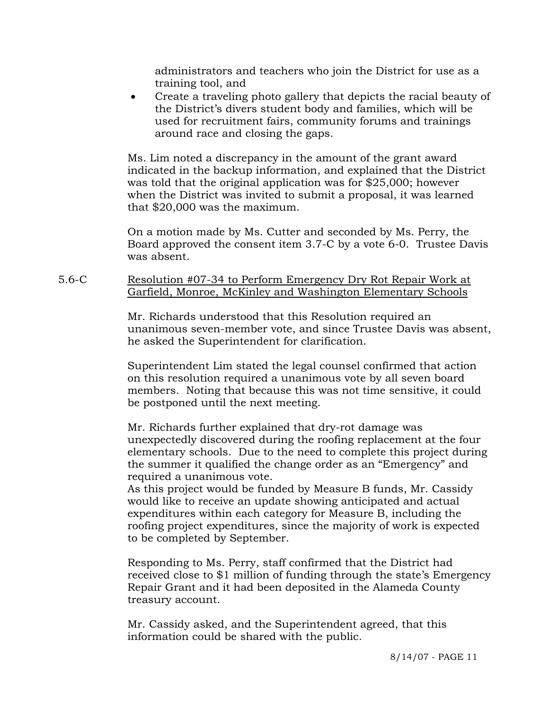administrators and teachers who join the District for use as a training tool, and

• Create a traveling photo gallery that depicts the racial beauty of the District's divers student body and families, which will be used for recruitment fairs, community forums and trainings around race and closing the gaps.

Ms. Lim noted a discrepancy in the amount of the grant award indicated in the backup information, and explained that the District was told that the original application was for \$25,000; however when the District was invited to submit a proposal, it was learned that \$20,000 was the maximum.

On a motion made by Ms. Cutter and seconded by Ms. Perry, the Board approved the consent item 3.7-C by a vote 6-0. Trustee Davis was absent.

# 5.6-C Resolution #07-34 to Perform Emergency Dry Rot Repair Work at Garfield, Monroe, McKinley and Washington Elementary Schools

Mr. Richards understood that this Resolution required an unanimous seven-member vote, and since Trustee Davis was absent, he asked the Superintendent for clarification.

Superintendent Lim stated the legal counsel confirmed that action on this resolution required a unanimous vote by all seven board members. Noting that because this was not time sensitive, it could be postponed until the next meeting.

Mr. Richards further explained that dry-rot damage was unexpectedly discovered during the roofing replacement at the four elementary schools. Due to the need to complete this project during the summer it qualified the change order as an "Emergency" and required a unanimous vote.

As this project would be funded by Measure B funds, Mr. Cassidy would like to receive an update showing anticipated and actual expenditures within each category for Measure B, including the roofing project expenditures, since the majority of work is expected to be completed by September.

Responding to Ms. Perry, staff confirmed that the District had received close to \$1 million of funding through the state's Emergency Repair Grant and it had been deposited in the Alameda County treasury account.

Mr. Cassidy asked, and the Superintendent agreed, that this information could be shared with the public.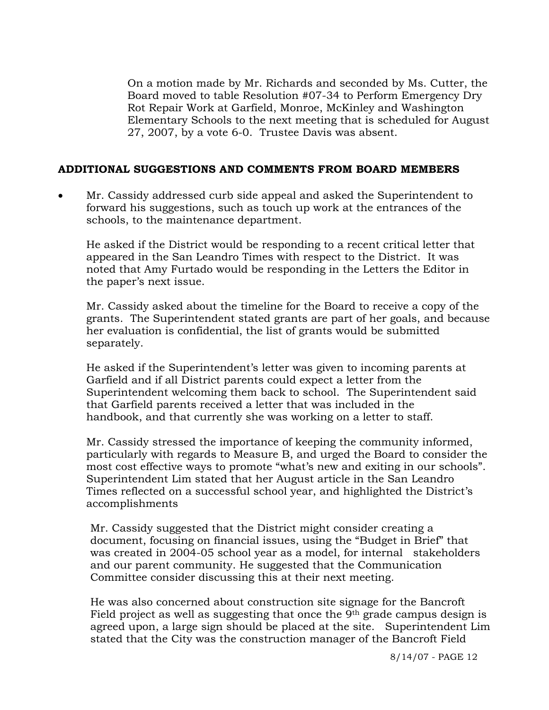On a motion made by Mr. Richards and seconded by Ms. Cutter, the Board moved to table Resolution #07-34 to Perform Emergency Dry Rot Repair Work at Garfield, Monroe, McKinley and Washington Elementary Schools to the next meeting that is scheduled for August 27, 2007, by a vote 6-0. Trustee Davis was absent.

## **ADDITIONAL SUGGESTIONS AND COMMENTS FROM BOARD MEMBERS**

• Mr. Cassidy addressed curb side appeal and asked the Superintendent to forward his suggestions, such as touch up work at the entrances of the schools, to the maintenance department.

 He asked if the District would be responding to a recent critical letter that appeared in the San Leandro Times with respect to the District. It was noted that Amy Furtado would be responding in the Letters the Editor in the paper's next issue.

 Mr. Cassidy asked about the timeline for the Board to receive a copy of the grants. The Superintendent stated grants are part of her goals, and because her evaluation is confidential, the list of grants would be submitted separately.

 He asked if the Superintendent's letter was given to incoming parents at Garfield and if all District parents could expect a letter from the Superintendent welcoming them back to school. The Superintendent said that Garfield parents received a letter that was included in the handbook, and that currently she was working on a letter to staff.

 Mr. Cassidy stressed the importance of keeping the community informed, particularly with regards to Measure B, and urged the Board to consider the most cost effective ways to promote "what's new and exiting in our schools". Superintendent Lim stated that her August article in the San Leandro Times reflected on a successful school year, and highlighted the District's accomplishments

 Mr. Cassidy suggested that the District might consider creating a document, focusing on financial issues, using the "Budget in Brief" that was created in 2004-05 school year as a model, for internal stakeholders and our parent community. He suggested that the Communication Committee consider discussing this at their next meeting.

 He was also concerned about construction site signage for the Bancroft Field project as well as suggesting that once the 9<sup>th</sup> grade campus design is agreed upon, a large sign should be placed at the site. Superintendent Lim stated that the City was the construction manager of the Bancroft Field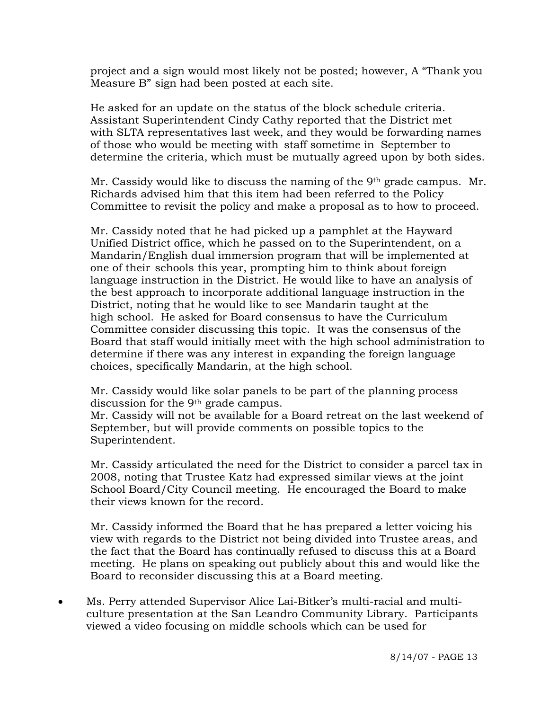project and a sign would most likely not be posted; however, A "Thank you Measure B" sign had been posted at each site.

He asked for an update on the status of the block schedule criteria. Assistant Superintendent Cindy Cathy reported that the District met with SLTA representatives last week, and they would be forwarding names of those who would be meeting with staff sometime in September to determine the criteria, which must be mutually agreed upon by both sides.

 Mr. Cassidy would like to discuss the naming of the 9th grade campus. Mr. Richards advised him that this item had been referred to the Policy Committee to revisit the policy and make a proposal as to how to proceed.

 Mr. Cassidy noted that he had picked up a pamphlet at the Hayward Unified District office, which he passed on to the Superintendent, on a Mandarin/English dual immersion program that will be implemented at one of their schools this year, prompting him to think about foreign language instruction in the District. He would like to have an analysis of the best approach to incorporate additional language instruction in the District, noting that he would like to see Mandarin taught at the high school. He asked for Board consensus to have the Curriculum Committee consider discussing this topic. It was the consensus of the Board that staff would initially meet with the high school administration to determine if there was any interest in expanding the foreign language choices, specifically Mandarin, at the high school.

 Mr. Cassidy would like solar panels to be part of the planning process discussion for the 9th grade campus.

 Mr. Cassidy will not be available for a Board retreat on the last weekend of September, but will provide comments on possible topics to the Superintendent.

 Mr. Cassidy articulated the need for the District to consider a parcel tax in 2008, noting that Trustee Katz had expressed similar views at the joint School Board/City Council meeting. He encouraged the Board to make their views known for the record.

 Mr. Cassidy informed the Board that he has prepared a letter voicing his view with regards to the District not being divided into Trustee areas, and the fact that the Board has continually refused to discuss this at a Board meeting. He plans on speaking out publicly about this and would like the Board to reconsider discussing this at a Board meeting.

• Ms. Perry attended Supervisor Alice Lai-Bitker's multi-racial and multiculture presentation at the San Leandro Community Library. Participants viewed a video focusing on middle schools which can be used for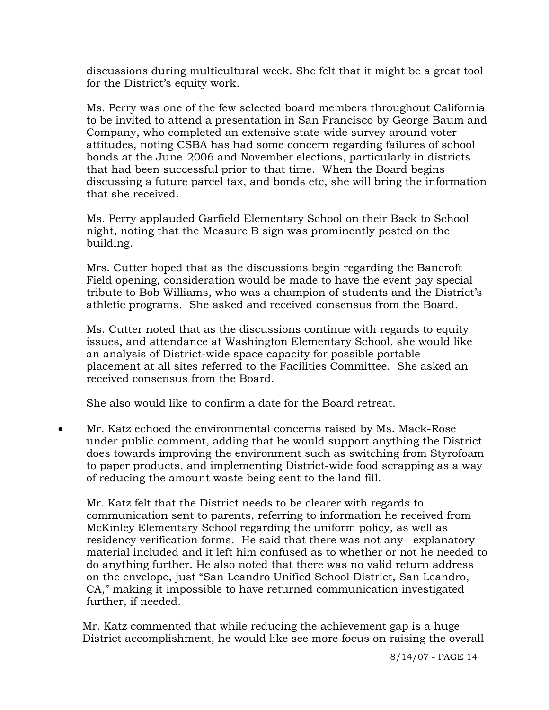discussions during multicultural week. She felt that it might be a great tool for the District's equity work.

 Ms. Perry was one of the few selected board members throughout California to be invited to attend a presentation in San Francisco by George Baum and Company, who completed an extensive state-wide survey around voter attitudes, noting CSBA has had some concern regarding failures of school bonds at the June 2006 and November elections, particularly in districts that had been successful prior to that time. When the Board begins discussing a future parcel tax, and bonds etc, she will bring the information that she received.

 Ms. Perry applauded Garfield Elementary School on their Back to School night, noting that the Measure B sign was prominently posted on the building.

 Mrs. Cutter hoped that as the discussions begin regarding the Bancroft Field opening, consideration would be made to have the event pay special tribute to Bob Williams, who was a champion of students and the District's athletic programs. She asked and received consensus from the Board.

 Ms. Cutter noted that as the discussions continue with regards to equity issues, and attendance at Washington Elementary School, she would like an analysis of District-wide space capacity for possible portable placement at all sites referred to the Facilities Committee. She asked an received consensus from the Board.

She also would like to confirm a date for the Board retreat.

• Mr. Katz echoed the environmental concerns raised by Ms. Mack-Rose under public comment, adding that he would support anything the District does towards improving the environment such as switching from Styrofoam to paper products, and implementing District-wide food scrapping as a way of reducing the amount waste being sent to the land fill.

 Mr. Katz felt that the District needs to be clearer with regards to communication sent to parents, referring to information he received from McKinley Elementary School regarding the uniform policy, as well as residency verification forms. He said that there was not any explanatory material included and it left him confused as to whether or not he needed to do anything further. He also noted that there was no valid return address on the envelope, just "San Leandro Unified School District, San Leandro, CA," making it impossible to have returned communication investigated further, if needed.

 Mr. Katz commented that while reducing the achievement gap is a huge District accomplishment, he would like see more focus on raising the overall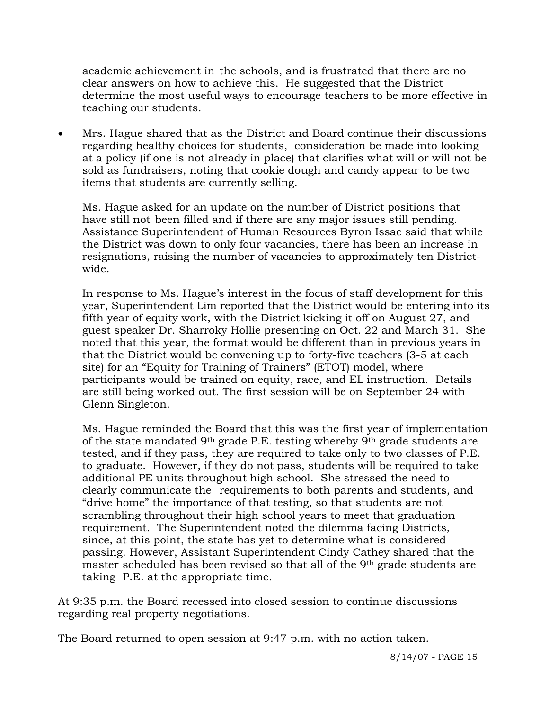academic achievement in the schools, and is frustrated that there are no clear answers on how to achieve this. He suggested that the District determine the most useful ways to encourage teachers to be more effective in teaching our students.

• Mrs. Hague shared that as the District and Board continue their discussions regarding healthy choices for students, consideration be made into looking at a policy (if one is not already in place) that clarifies what will or will not be sold as fundraisers, noting that cookie dough and candy appear to be two items that students are currently selling.

 Ms. Hague asked for an update on the number of District positions that have still not been filled and if there are any major issues still pending. Assistance Superintendent of Human Resources Byron Issac said that while the District was down to only four vacancies, there has been an increase in resignations, raising the number of vacancies to approximately ten District wide.

 In response to Ms. Hague's interest in the focus of staff development for this year, Superintendent Lim reported that the District would be entering into its fifth year of equity work, with the District kicking it off on August 27, and guest speaker Dr. Sharroky Hollie presenting on Oct. 22 and March 31. She noted that this year, the format would be different than in previous years in that the District would be convening up to forty-five teachers (3-5 at each site) for an "Equity for Training of Trainers" (ETOT) model, where participants would be trained on equity, race, and EL instruction. Details are still being worked out. The first session will be on September 24 with Glenn Singleton.

 Ms. Hague reminded the Board that this was the first year of implementation of the state mandated 9<sup>th</sup> grade P.E. testing whereby 9<sup>th</sup> grade students are tested, and if they pass, they are required to take only to two classes of P.E. to graduate. However, if they do not pass, students will be required to take additional PE units throughout high school. She stressed the need to clearly communicate the requirements to both parents and students, and "drive home" the importance of that testing, so that students are not scrambling throughout their high school years to meet that graduation requirement. The Superintendent noted the dilemma facing Districts, since, at this point, the state has yet to determine what is considered passing. However, Assistant Superintendent Cindy Cathey shared that the master scheduled has been revised so that all of the 9<sup>th</sup> grade students are taking P.E. at the appropriate time.

At 9:35 p.m. the Board recessed into closed session to continue discussions regarding real property negotiations.

The Board returned to open session at 9:47 p.m. with no action taken.